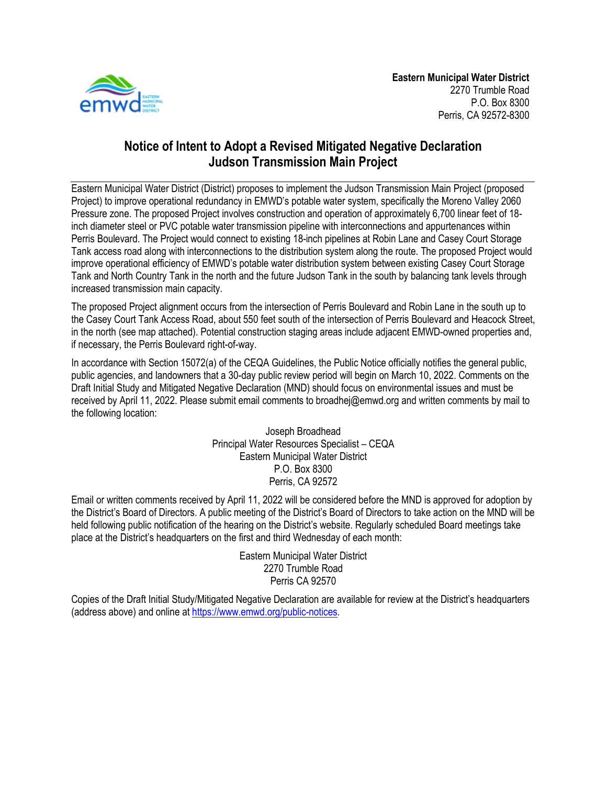

## **Notice of Intent to Adopt a Revised Mitigated Negative Declaration Judson Transmission Main Project**

Eastern Municipal Water District (District) proposes to implement the Judson Transmission Main Project (proposed Project) to improve operational redundancy in EMWD's potable water system, specifically the Moreno Valley 2060 Pressure zone. The proposed Project involves construction and operation of approximately 6,700 linear feet of 18 inch diameter steel or PVC potable water transmission pipeline with interconnections and appurtenances within Perris Boulevard. The Project would connect to existing 18-inch pipelines at Robin Lane and Casey Court Storage Tank access road along with interconnections to the distribution system along the route. The proposed Project would improve operational efficiency of EMWD's potable water distribution system between existing Casey Court Storage Tank and North Country Tank in the north and the future Judson Tank in the south by balancing tank levels through increased transmission main capacity.

The proposed Project alignment occurs from the intersection of Perris Boulevard and Robin Lane in the south up to the Casey Court Tank Access Road, about 550 feet south of the intersection of Perris Boulevard and Heacock Street, in the north (see map attached). Potential construction staging areas include adjacent EMWD-owned properties and, if necessary, the Perris Boulevard right-of-way.

In accordance with Section 15072(a) of the CEQA Guidelines, the Public Notice officially notifies the general public, public agencies, and landowners that a 30-day public review period will begin on March 10, 2022. Comments on the Draft Initial Study and Mitigated Negative Declaration (MND) should focus on environmental issues and must be received by April 11, 2022. Please submit email comments to broadhej@emwd.org and written comments by mail to the following location:

> Joseph Broadhead Principal Water Resources Specialist – CEQA Eastern Municipal Water District P.O. Box 8300 Perris, CA 92572

Email or written comments received by April 11, 2022 will be considered before the MND is approved for adoption by the District's Board of Directors. A public meeting of the District's Board of Directors to take action on the MND will be held following public notification of the hearing on the District's website. Regularly scheduled Board meetings take place at the District's headquarters on the first and third Wednesday of each month:

> Eastern Municipal Water District 2270 Trumble Road Perris CA 92570

Copies of the Draft Initial Study/Mitigated Negative Declaration are available for review at the District's headquarters (address above) and online at [https://www.emwd.org/public-notices.](https://www.emwd.org/public-notices)